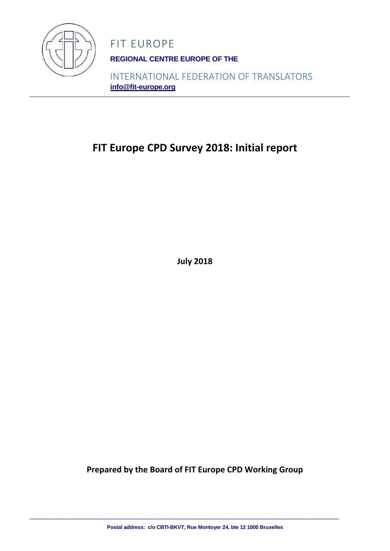

**REGIONAL CENTRE EUROPE OF THE** 

INTERNATIONAL FEDERATION OF TRANSLATORS **info@fit-europe.org**

# **FIT Europe CPD Survey 2018: Initial report**

**July 2018**

**Prepared by the Board of FIT Europe CPD Working Group**

**Postal address: c/o CBTI-BKVT, Rue Montoyer 24, bte 12 1000 Bruxelles**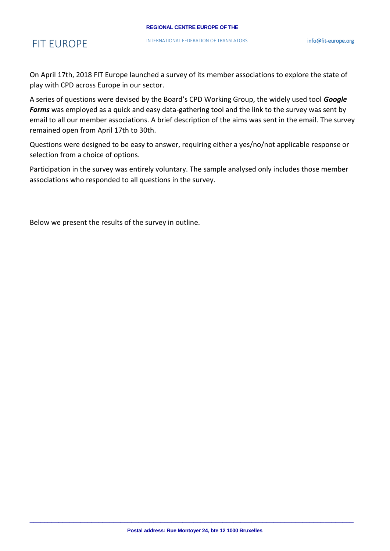On April 17th, 2018 FIT Europe launched a survey of its member associations to explore the state of play with CPD across Europe in our sector.

A series of questions were devised by the Board's CPD Working Group, the widely used tool *Google Forms* was employed as a quick and easy data-gathering tool and the link to the survey was sent by email to all our member associations. A brief description of the aims was sent in the email. The survey remained open from April 17th to 30th.

Questions were designed to be easy to answer, requiring either a yes/no/not applicable response or selection from a choice of options.

Participation in the survey was entirely voluntary. The sample analysed only includes those member associations who responded to all questions in the survey.

Below we present the results of the survey in outline.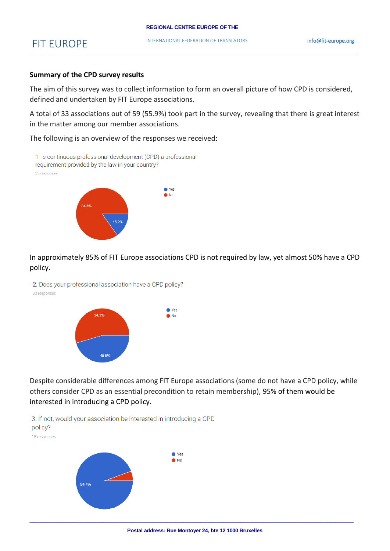#### **REGIONAL CENTRE EUROPE OF THE**

### FIT EUROPE

#### **Summary of the CPD survey results**

The aim of this survey was to collect information to form an overall picture of how CPD is considered, defined and undertaken by FIT Europe associations.

A total of 33 associations out of 59 (55.9%) took part in the survey, revealing that there is great interest in the matter among our member associations.

The following is an overview of the responses we received:





In approximately 85% of FIT Europe associations CPD is not required by law, yet almost 50% have a CPD policy.

2. Does your professional association have a CPD policy?

33 responses



Despite considerable differences among FIT Europe associations (some do not have a CPD policy, while others consider CPD as an essential precondition to retain membership), 95% of them would be interested in introducing a CPD policy.

3. If not, would your association be interested in introducing a CPD policy? 18 responses

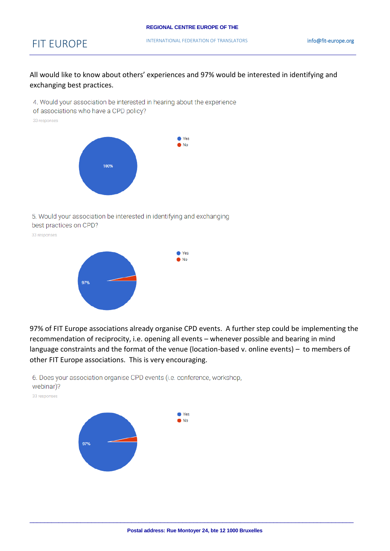All would like to know about others' experiences and 97% would be interested in identifying and exchanging best practices.

4. Would your association be interested in hearing about the experience

of associations who have a CPD policy?

33 responses



5. Would your association be interested in identifying and exchanging best practices on CPD?

33 responses



97% of FIT Europe associations already organise CPD events. A further step could be implementing the recommendation of reciprocity, i.e. opening all events – whenever possible and bearing in mind language constraints and the format of the venue (location-based v. online events) – to members of other FIT Europe associations. This is very encouraging.



6. Does your association organise CPD events (i.e. conference, workshop, webinar)?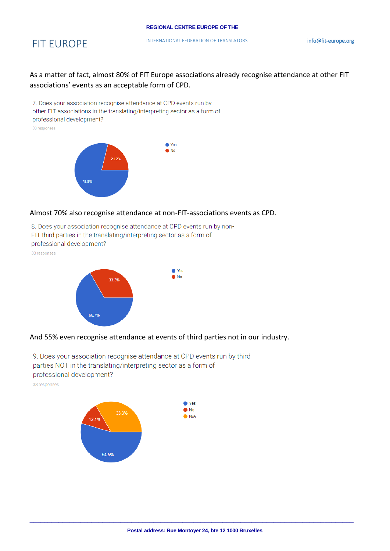As a matter of fact, almost 80% of FIT Europe associations already recognise attendance at other FIT associations' events as an acceptable form of CPD.

7. Does your association recognise attendance at CPD events run by other FIT associations in the translating/interpreting sector as a form of professional development?

33 responses



#### Almost 70% also recognise attendance at non-FIT-associations events as CPD.

8. Does your association recognise attendance at CPD events run by non-FIT third parties in the translating/interpreting sector as a form of professional development?

33 responses





9. Does your association recognise attendance at CPD events run by third parties NOT in the translating/interpreting sector as a form of professional development?

33 responses

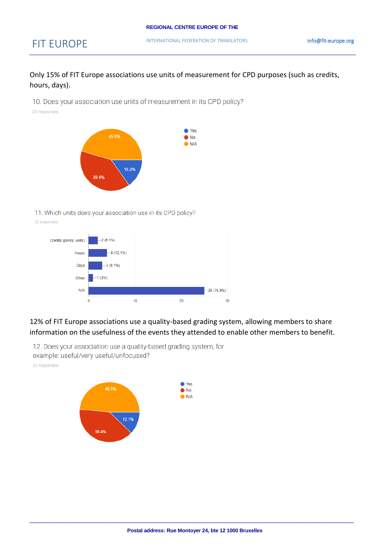Only 15% of FIT Europe associations use units of measurement for CPD purposes (such as credits, hours, days).

10. Does your association use units of measurement in its CPD policy? 33 responses



11. Which units does your association use in its CPD policy?

Credits (points, units)  $-2(6.1\%)$  $-4(12.1%)$ Hours  $-3(9.1\%)$ Days  $(3%)$ Other  $N/A$  $-25(75.8%)$  $10<sup>10</sup>$  $\theta$  $20$ 30

12% of FIT Europe associations use a quality-based grading system, allowing members to share information on the usefulness of the events they attended to enable other members to benefit.

12. Does your association use a quality-based grading system, for

example: useful/very useful/unfocused?

33 responses

33 responses

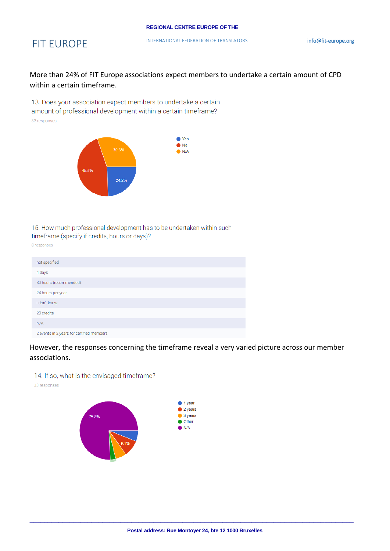More than 24% of FIT Europe associations expect members to undertake a certain amount of CPD within a certain timeframe.

13. Does your association expect members to undertake a certain amount of professional development within a certain timeframe? 33 responses



15. How much professional development has to be undertaken within such timeframe (specify if credits, hours or days)?

8 responses

| not specified                             |
|-------------------------------------------|
| 4 days                                    |
| 30 hours (recommended)                    |
| 24 hours per year                         |
| I don't know                              |
| 20 credits                                |
| N/A                                       |
| 2 events in 2 years for certified members |

However, the responses concerning the timeframe reveal a very varied picture across our member associations.

14. If so, what is the envisaged timeframe?

33 responses

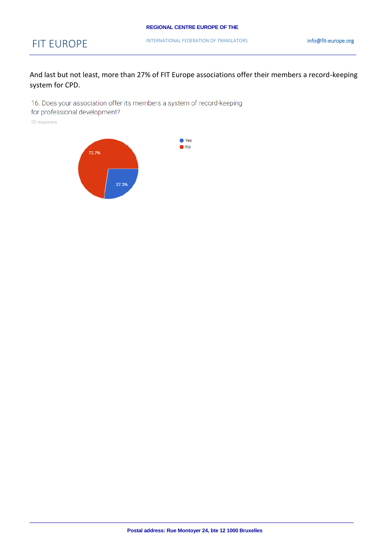And last but not least, more than 27% of FIT Europe associations offer their members a record-keeping system for CPD.

16. Does your association offer its members a system of record-keeping

for professional development?

33 responses